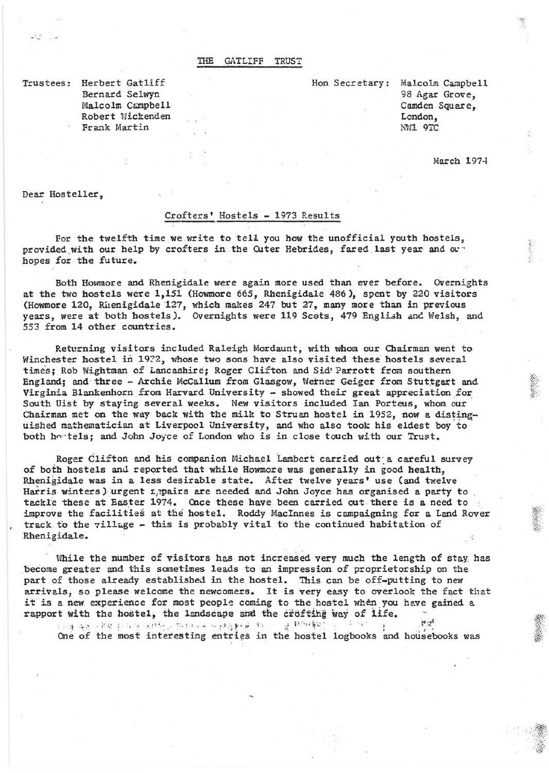## THE GATLIFF TRUST

Trustees: Herbert Gatliff Bernard Selwyn Malcolm Campbell Robert Wickenden Frank Martin

Hon Secretary: Malcolm Campbell 98 Agar Grove, Camden Square, London, NWl 9TC

March 1974

Dear Hosteller,

## Crofters' Hostels - 1973 Results

For the twelfth time we write to tell you how the unofficial youth hostels, provided with our help by crofters in the Outer Hebrides, fared last year and our hopes for the future.

Both Hovnnore and Rhenigidale were again more used than ever before. Overnights at the two hostels were 1,151 (Howmore 665, Rhenigidale 486), spent by 220 visitors (Howmore 120, Rhenigidale '127, which makes 247 but 27, many more than in previous years, were at both hostels). Cvernights were 119 Scots, 479 English and Welsh, and 553 from 14 other countries.

Returning visitors included Raleigh Mordaunt, with whom our Chairman went to Winchester hostel in 1922, whose two sons have also visited these hostels several times; Rob Wightman of Lancashire; Roger Clifton and Sid' Parrott from southern England; and three - Archie McCallum from Glasgow, Wetner Geiger from Stuttgart and Virginia Blankenhorn from Harvard University - showed their great appreciation for South Uist by staying several weeks. New visitors included Ian Porteus, whom our Chairman met on the way back with the milk to Struan hostel in 1952, now a distinguished mathematician at Liverpool University, and who also took his eldest boy to both hortels; and John Joyce of London who is in close touch with our Trust.

Roger Clifton and his companion Michael Lambert carried out a careful survey of both hostels and reported that while Howmore was generally in good health, Rhenigidale was in a less desirable state. After twelve years' use (and twelve Harris winters) urgent 1. pairs are needed and John Joyce has organised a party to tackle these at Easter 1974. Once these have been carried out there is a need to improve the facilities at the hostel. Roddy MacInnes is campaigning for a Land Rover track to the village - this is probably vital to the continued habitation of Rhenigidale.

While the number of visitors has not increased very much the length of stay has ,become greater and this sometimes leads to an impression of proprietorship on the part of those already established in the hostel. This can be off-putting to new arrivals, so please welcome the newcomers. It is very easy to overlook the fact that it is a new experience for most people coming to the hostel when you have gained a rapport with the hostel, the landscape and the crosting way of life.

One of the most interesting entries in the hostel logbooks and housebooks was